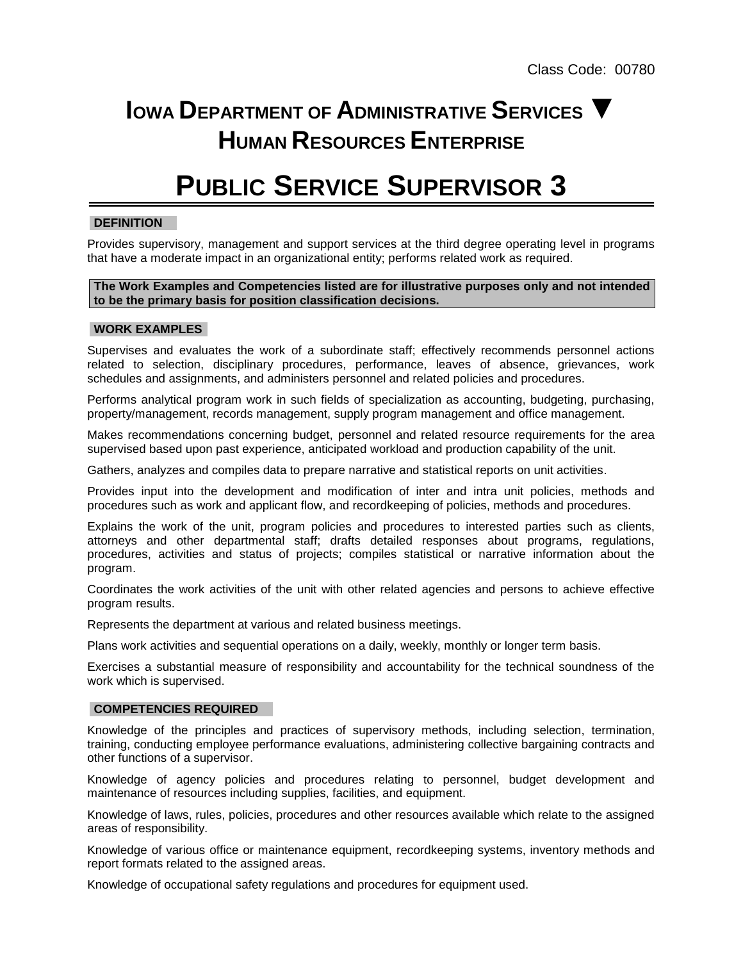## **IOWA DEPARTMENT OF ADMINISTRATIVE SERVICES ▼ HUMAN RESOURCES ENTERPRISE**

# **PUBLIC SERVICE SUPERVISOR 3**

## **DEFINITION**

Provides supervisory, management and support services at the third degree operating level in programs that have a moderate impact in an organizational entity; performs related work as required.

## **The Work Examples and Competencies listed are for illustrative purposes only and not intended to be the primary basis for position classification decisions.**

#### **WORK EXAMPLES**

Supervises and evaluates the work of a subordinate staff; effectively recommends personnel actions related to selection, disciplinary procedures, performance, leaves of absence, grievances, work schedules and assignments, and administers personnel and related policies and procedures.

Performs analytical program work in such fields of specialization as accounting, budgeting, purchasing, property/management, records management, supply program management and office management.

Makes recommendations concerning budget, personnel and related resource requirements for the area supervised based upon past experience, anticipated workload and production capability of the unit.

Gathers, analyzes and compiles data to prepare narrative and statistical reports on unit activities.

Provides input into the development and modification of inter and intra unit policies, methods and procedures such as work and applicant flow, and recordkeeping of policies, methods and procedures.

Explains the work of the unit, program policies and procedures to interested parties such as clients, attorneys and other departmental staff; drafts detailed responses about programs, regulations, procedures, activities and status of projects; compiles statistical or narrative information about the program.

Coordinates the work activities of the unit with other related agencies and persons to achieve effective program results.

Represents the department at various and related business meetings.

Plans work activities and sequential operations on a daily, weekly, monthly or longer term basis.

Exercises a substantial measure of responsibility and accountability for the technical soundness of the work which is supervised.

## **COMPETENCIES REQUIRED**

Knowledge of the principles and practices of supervisory methods, including selection, termination, training, conducting employee performance evaluations, administering collective bargaining contracts and other functions of a supervisor.

Knowledge of agency policies and procedures relating to personnel, budget development and maintenance of resources including supplies, facilities, and equipment.

Knowledge of laws, rules, policies, procedures and other resources available which relate to the assigned areas of responsibility.

Knowledge of various office or maintenance equipment, recordkeeping systems, inventory methods and report formats related to the assigned areas.

Knowledge of occupational safety regulations and procedures for equipment used.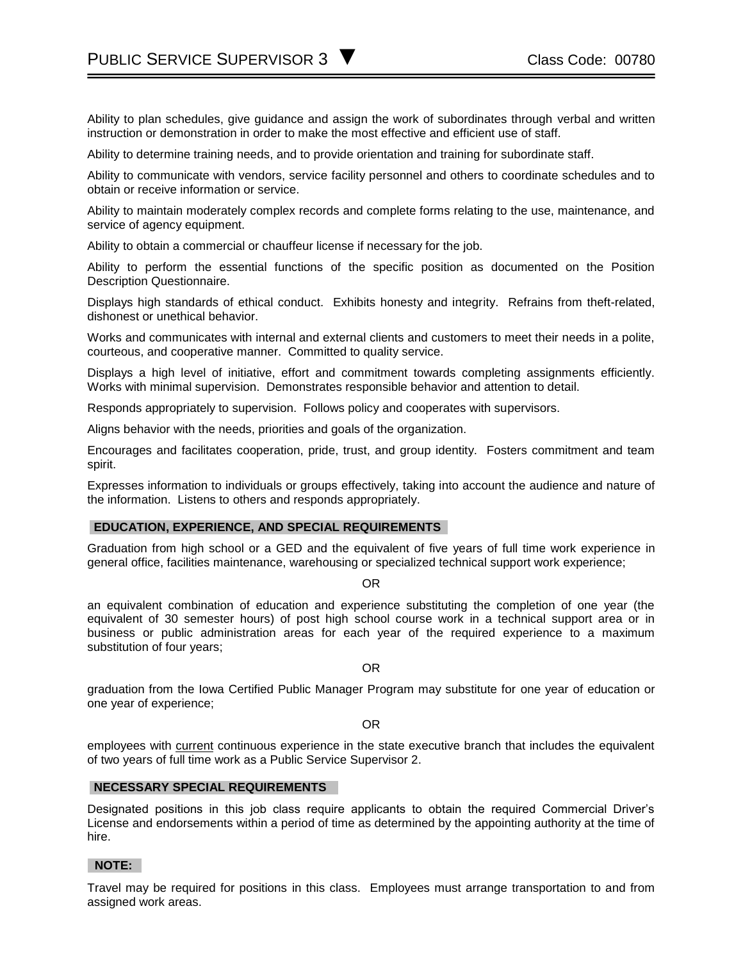Ability to plan schedules, give guidance and assign the work of subordinates through verbal and written instruction or demonstration in order to make the most effective and efficient use of staff.

Ability to determine training needs, and to provide orientation and training for subordinate staff.

Ability to communicate with vendors, service facility personnel and others to coordinate schedules and to obtain or receive information or service.

Ability to maintain moderately complex records and complete forms relating to the use, maintenance, and service of agency equipment.

Ability to obtain a commercial or chauffeur license if necessary for the job.

Ability to perform the essential functions of the specific position as documented on the Position Description Questionnaire.

Displays high standards of ethical conduct. Exhibits honesty and integrity. Refrains from theft-related, dishonest or unethical behavior.

Works and communicates with internal and external clients and customers to meet their needs in a polite, courteous, and cooperative manner. Committed to quality service.

Displays a high level of initiative, effort and commitment towards completing assignments efficiently. Works with minimal supervision. Demonstrates responsible behavior and attention to detail.

Responds appropriately to supervision. Follows policy and cooperates with supervisors.

Aligns behavior with the needs, priorities and goals of the organization.

Encourages and facilitates cooperation, pride, trust, and group identity. Fosters commitment and team spirit.

Expresses information to individuals or groups effectively, taking into account the audience and nature of the information. Listens to others and responds appropriately.

## **EDUCATION, EXPERIENCE, AND SPECIAL REQUIREMENTS**

Graduation from high school or a GED and the equivalent of five years of full time work experience in general office, facilities maintenance, warehousing or specialized technical support work experience;

OR

an equivalent combination of education and experience substituting the completion of one year (the equivalent of 30 semester hours) of post high school course work in a technical support area or in business or public administration areas for each year of the required experience to a maximum substitution of four years;

OR

graduation from the Iowa Certified Public Manager Program may substitute for one year of education or one year of experience;

OR

employees with current continuous experience in the state executive branch that includes the equivalent of two years of full time work as a Public Service Supervisor 2.

## **NECESSARY SPECIAL REQUIREMENTS**

Designated positions in this job class require applicants to obtain the required Commercial Driver's License and endorsements within a period of time as determined by the appointing authority at the time of hire.

#### **NOTE:**

Travel may be required for positions in this class. Employees must arrange transportation to and from assigned work areas.